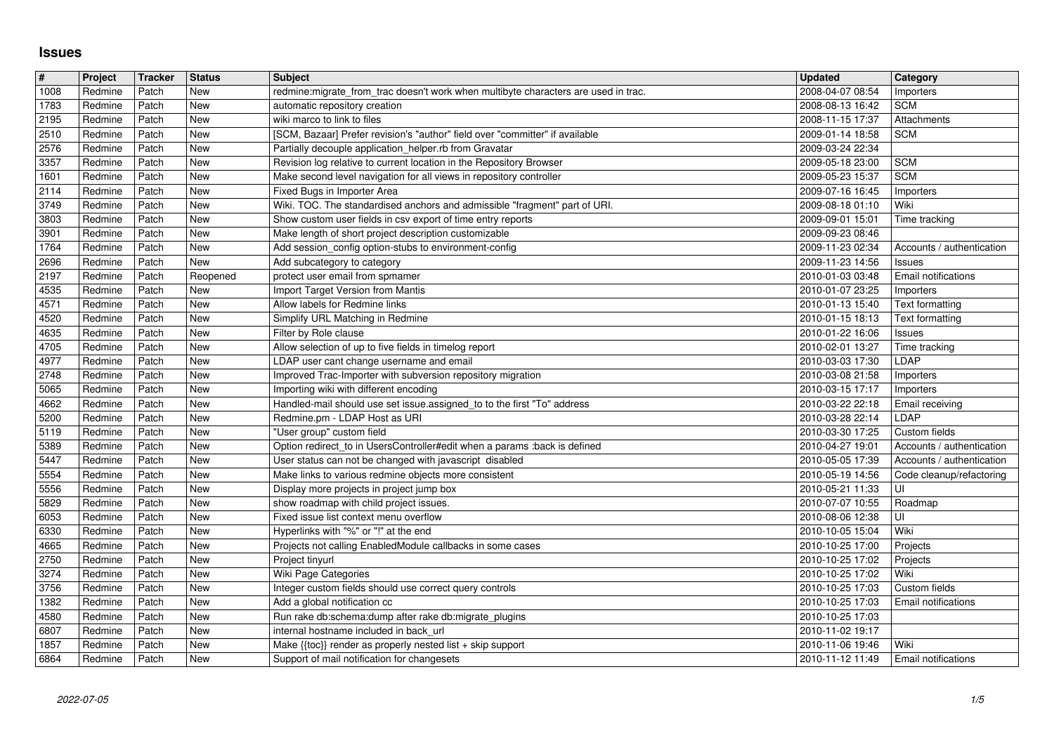## **Issues**

| #            | Project            | Tracker        | <b>Status</b>     | <b>Subject</b>                                                                                                                            | <b>Updated</b>                       | <b>Category</b>                            |
|--------------|--------------------|----------------|-------------------|-------------------------------------------------------------------------------------------------------------------------------------------|--------------------------------------|--------------------------------------------|
| 1008<br>1783 | Redmine<br>Redmine | Patch<br>Patch | New<br><b>New</b> | redmine:migrate_from_trac doesn't work when multibyte characters are used in trac.<br>automatic repository creation                       | 2008-04-07 08:54<br>2008-08-13 16:42 | Importers<br><b>SCM</b>                    |
| 2195         | Redmine            | Patch          | New               | wiki marco to link to files                                                                                                               | 2008-11-15 17:37                     | Attachments                                |
| 2510         | Redmine            | Patch          | New               | [SCM, Bazaar] Prefer revision's "author" field over "committer" if available                                                              | 2009-01-14 18:58                     | <b>SCM</b>                                 |
| 2576<br>3357 | Redmine<br>Redmine | Patch<br>Patch | <b>New</b><br>New | Partially decouple application_helper.rb from Gravatar<br>Revision log relative to current location in the Repository Browser             | 2009-03-24 22:34<br>2009-05-18 23:00 | <b>SCM</b>                                 |
| 1601         | Redmine            | Patch          | New               | Make second level navigation for all views in repository controller                                                                       | 2009-05-23 15:37                     | <b>SCM</b>                                 |
| 2114         | Redmine            | Patch          | New               | Fixed Bugs in Importer Area                                                                                                               | 2009-07-16 16:45                     | Importers                                  |
| 3749<br>3803 | Redmine<br>Redmine | Patch<br>Patch | New<br><b>New</b> | Wiki. TOC. The standardised anchors and admissible "fragment" part of URI.<br>Show custom user fields in csv export of time entry reports | 2009-08-18 01:10<br>2009-09-01 15:01 | Wiki<br>Time tracking                      |
| 3901         | Redmine            | Patch          | <b>New</b>        | Make length of short project description customizable                                                                                     | 2009-09-23 08:46                     |                                            |
| 1764         | Redmine            | Patch          | New               | Add session_config option-stubs to environment-config                                                                                     | 2009-11-23 02:34                     | Accounts / authentication                  |
| 2696<br>2197 | Redmine<br>Redmine | Patch<br>Patch | New<br>Reopened   | Add subcategory to category<br>protect user email from spmamer                                                                            | 2009-11-23 14:56<br>2010-01-03 03:48 | Issues<br>Email notifications              |
| 4535         | Redmine            | Patch          | <b>New</b>        | Import Target Version from Mantis                                                                                                         | 2010-01-07 23:25                     | Importers                                  |
| 4571         | Redmine            | Patch          | <b>New</b>        | Allow labels for Redmine links                                                                                                            | 2010-01-13 15:40                     | Text formatting                            |
| 4520<br>4635 | Redmine<br>Redmine | Patch<br>Patch | New<br>New        | Simplify URL Matching in Redmine<br>Filter by Role clause                                                                                 | 2010-01-15 18:13<br>2010-01-22 16:06 | Text formatting<br>Issues                  |
| 4705         | Redmine            | Patch          | <b>New</b>        | Allow selection of up to five fields in timelog report                                                                                    | 2010-02-01 13:27                     | Time tracking                              |
| 4977         | Redmine            | Patch          | <b>New</b>        | LDAP user cant change username and email                                                                                                  | 2010-03-03 17:30                     | LDAP                                       |
| 2748<br>5065 | Redmine<br>Redmine | Patch<br>Patch | New<br>New        | Improved Trac-Importer with subversion repository migration<br>Importing wiki with different encoding                                     | 2010-03-08 21:58<br>2010-03-15 17:17 | Importers<br>Importers                     |
| 4662         | Redmine            | Patch          | <b>New</b>        | Handled-mail should use set issue.assigned_to to the first "To" address                                                                   | 2010-03-22 22:18                     | Email receiving                            |
| 5200         | Redmine            | Patch          | <b>New</b>        | Redmine.pm - LDAP Host as URI                                                                                                             | 2010-03-28 22:14                     | LDAP                                       |
| 5119<br>5389 | Redmine<br>Redmine | Patch<br>Patch | New<br>New        | "User group" custom field<br>Option redirect_to in UsersController#edit when a params :back is defined                                    | 2010-03-30 17:25<br>2010-04-27 19:01 | Custom fields<br>Accounts / authentication |
| 5447         | Redmine            | Patch          | New               | User status can not be changed with javascript disabled                                                                                   | 2010-05-05 17:39                     | Accounts / authentication                  |
| 5554         | Redmine            | Patch          | <b>New</b>        | Make links to various redmine objects more consistent                                                                                     | 2010-05-19 14:56                     | Code cleanup/refactoring                   |
| 5556<br>5829 | Redmine<br>Redmine | Patch<br>Patch | New<br><b>New</b> | Display more projects in project jump box<br>show roadmap with child project issues.                                                      | 2010-05-21 11:33<br>2010-07-07 10:55 | l UI<br>Roadmap                            |
| 6053         | Redmine            | Patch          | New               | Fixed issue list context menu overflow                                                                                                    | 2010-08-06 12:38                     | ΙUΙ                                        |
| 6330         | Redmine            | Patch          | <b>New</b>        | Hyperlinks with "%" or "!" at the end                                                                                                     | 2010-10-05 15:04                     | Wiki                                       |
| 4665         | Redmine            | Patch          | <b>New</b>        | Projects not calling EnabledModule callbacks in some cases                                                                                | 2010-10-25 17:00                     | Projects                                   |
| 2750<br>3274 | Redmine<br>Redmine | Patch<br>Patch | <b>New</b><br>New | Project tinyurl<br>Wiki Page Categories                                                                                                   | 2010-10-25 17:02<br>2010-10-25 17:02 | Projects<br>Wiki                           |
| 3756         | Redmine            | Patch          | New               | Integer custom fields should use correct query controls                                                                                   | 2010-10-25 17:03                     | Custom fields                              |
| 1382         | Redmine            | Patch          | New               | Add a global notification cc                                                                                                              | 2010-10-25 17:03                     | <b>Email notifications</b>                 |
| 4580<br>6807 | Redmine<br>Redmine | Patch<br>Patch | New<br>New        | Run rake db:schema:dump after rake db:migrate_plugins<br>internal hostname included in back_url                                           | 2010-10-25 17:03<br>2010-11-02 19:17 |                                            |
| 1857         | Redmine            | Patch          | <b>New</b>        | Make $\{\text{toc}\}\$ render as properly nested list + skip support                                                                      | 2010-11-06 19:46                     | Wiki                                       |
|              |                    |                |                   |                                                                                                                                           |                                      |                                            |
|              |                    |                |                   |                                                                                                                                           |                                      |                                            |
|              |                    |                |                   |                                                                                                                                           |                                      |                                            |
|              |                    |                |                   |                                                                                                                                           |                                      |                                            |
|              |                    |                |                   |                                                                                                                                           |                                      |                                            |
|              |                    |                |                   |                                                                                                                                           |                                      |                                            |
|              |                    |                |                   |                                                                                                                                           |                                      |                                            |
|              |                    |                |                   |                                                                                                                                           |                                      |                                            |
|              |                    |                |                   |                                                                                                                                           |                                      |                                            |
|              |                    |                |                   |                                                                                                                                           |                                      |                                            |
|              |                    |                |                   |                                                                                                                                           |                                      |                                            |
|              |                    |                |                   |                                                                                                                                           |                                      |                                            |
|              |                    |                |                   |                                                                                                                                           |                                      |                                            |
|              |                    |                |                   |                                                                                                                                           |                                      |                                            |
|              |                    |                |                   |                                                                                                                                           |                                      |                                            |
|              |                    |                |                   |                                                                                                                                           |                                      |                                            |
|              |                    |                |                   |                                                                                                                                           |                                      |                                            |
|              |                    |                |                   |                                                                                                                                           |                                      |                                            |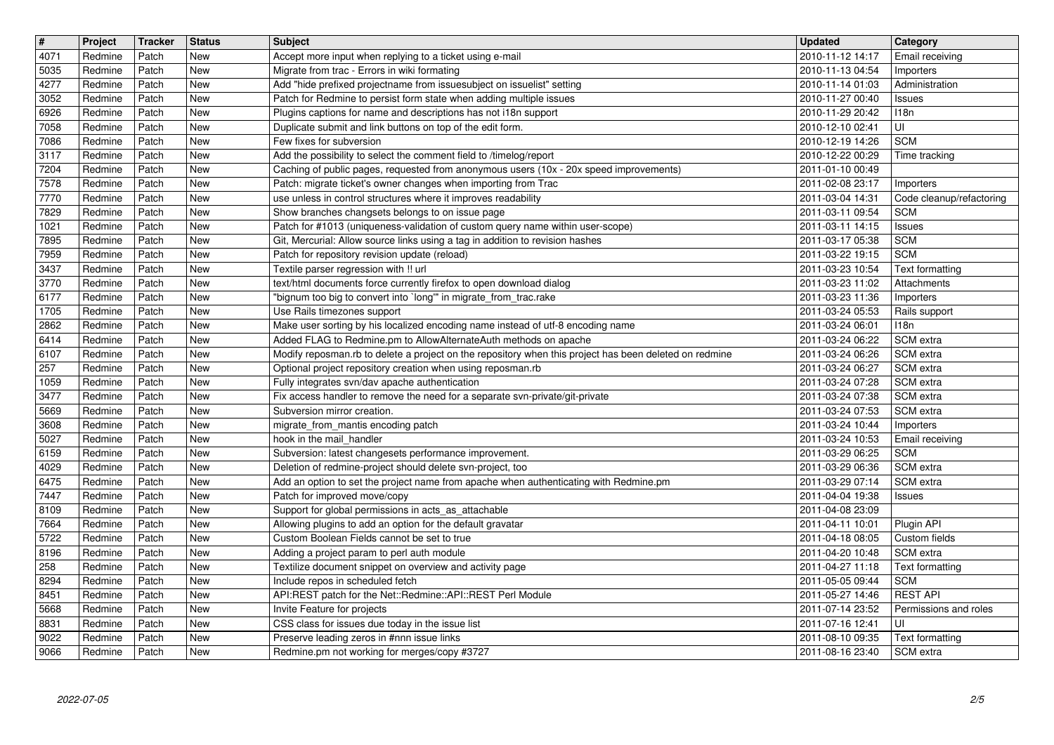| $\boxed{\texttt{#}}$  | Project            | Tracker        | <b>Status</b>            | Subject                                                                                                                                                               | <b>Updated</b>                       | <b>Category</b>                              |
|-----------------------|--------------------|----------------|--------------------------|-----------------------------------------------------------------------------------------------------------------------------------------------------------------------|--------------------------------------|----------------------------------------------|
| $\sqrt{4071}$<br>5035 | Redmine<br>Redmine | Patch<br>Patch | New<br><b>New</b>        | Accept more input when replying to a ticket using e-mail<br>Migrate from trac - Errors in wiki formating                                                              | 2010-11-12 14:17<br>2010-11-13 04:54 | Email receiving<br>Importers                 |
| 4277                  | Redmine            | Patch          | <b>New</b>               | Add "hide prefixed projectname from issuesubject on issuelist" setting                                                                                                | 2010-11-14 01:03                     | Administration                               |
| 3052<br>6926          | Redmine<br>Redmine | Patch<br>Patch | <b>New</b><br>New        | Patch for Redmine to persist form state when adding multiple issues<br>Plugins captions for name and descriptions has not i18n support                                | 2010-11-27 00:40<br>2010-11-29 20:42 | Issues<br>118n                               |
| 7058                  | Redmine            | Patch          | <b>New</b>               | Duplicate submit and link buttons on top of the edit form.                                                                                                            | 2010-12-10 02:41                     | l UI-                                        |
| 7086<br>3117          | Redmine<br>Redmine | Patch<br>Patch | <b>New</b><br><b>New</b> | Few fixes for subversion<br>Add the possibility to select the comment field to /timelog/report                                                                        | 2010-12-19 14:26<br>2010-12-22 00:29 | <b>SCM</b><br>Time tracking                  |
| 7204                  | Redmine            | Patch          | <b>New</b>               | Caching of public pages, requested from anonymous users (10x - 20x speed improvements)                                                                                | 2011-01-10 00:49                     |                                              |
| 7578<br>7770          | Redmine<br>Redmine | Patch<br>Patch | New<br><b>New</b>        | Patch: migrate ticket's owner changes when importing from Trac<br>use unless in control structures where it improves readability                                      | 2011-02-08 23:17<br>2011-03-04 14:31 | <b>Importers</b><br>Code cleanup/refactoring |
| 7829                  | Redmine            | Patch          | <b>New</b>               | Show branches changsets belongs to on issue page                                                                                                                      | 2011-03-11 09:54                     | <b>SCM</b>                                   |
| 1021<br>7895          | Redmine<br>Redmine | Patch<br>Patch | <b>New</b><br><b>New</b> | Patch for #1013 (uniqueness-validation of custom query name within user-scope)<br>Git, Mercurial: Allow source links using a tag in addition to revision hashes       | 2011-03-11 14:15<br>2011-03-17 05:38 | Issues<br><b>SCM</b>                         |
| 7959                  | Redmine            | Patch          | <b>New</b>               | Patch for repository revision update (reload)                                                                                                                         | 2011-03-22 19:15                     | <b>SCM</b>                                   |
| 3437<br>3770          | Redmine<br>Redmine | Patch<br>Patch | <b>New</b><br><b>New</b> | Textile parser regression with !! url<br>text/html documents force currently firefox to open download dialog                                                          | 2011-03-23 10:54<br>2011-03-23 11:02 | Text formatting<br>Attachments               |
| 6177                  | Redmine            | Patch          | <b>New</b>               | "bignum too big to convert into `long'" in migrate_from_trac.rake                                                                                                     | 2011-03-23 11:36                     | Importers                                    |
| 1705<br>2862          | Redmine<br>Redmine | Patch<br>Patch | <b>New</b><br><b>New</b> | Use Rails timezones support<br>Make user sorting by his localized encoding name instead of utf-8 encoding name                                                        | 2011-03-24 05:53<br>2011-03-24 06:01 | Rails support<br>118n                        |
| 6414                  | Redmine            | Patch          | <b>New</b>               | Added FLAG to Redmine.pm to AllowAlternateAuth methods on apache                                                                                                      | 2011-03-24 06:22                     | SCM extra                                    |
| 6107<br>$\sqrt{257}$  | Redmine<br>Redmine | Patch<br>Patch | <b>New</b><br><b>New</b> | Modify reposman.rb to delete a project on the repository when this project has been deleted on redmine<br>Optional project repository creation when using reposman.rb | 2011-03-24 06:26<br>2011-03-24 06:27 | SCM extra<br>SCM extra                       |
| 1059                  | Redmine            | Patch          | <b>New</b>               | Fully integrates svn/dav apache authentication                                                                                                                        | 2011-03-24 07:28                     | SCM extra                                    |
| 3477<br>5669          | Redmine<br>Redmine | Patch<br>Patch | New<br><b>New</b>        | Fix access handler to remove the need for a separate svn-private/git-private<br>Subversion mirror creation.                                                           | 2011-03-24 07:38<br>2011-03-24 07:53 | SCM extra<br>SCM extra                       |
| 3608                  | Redmine            | Patch          | <b>New</b>               | migrate_from_mantis encoding patch                                                                                                                                    | 2011-03-24 10:44                     | Importers                                    |
| 5027<br>6159          | Redmine<br>Redmine | Patch<br>Patch | <b>New</b><br><b>New</b> | hook in the mail handler<br>Subversion: latest changesets performance improvement.                                                                                    | 2011-03-24 10:53<br>2011-03-29 06:25 | Email receiving<br><b>SCM</b>                |
| 4029                  | Redmine            | Patch          | <b>New</b>               | Deletion of redmine-project should delete svn-project, too                                                                                                            | 2011-03-29 06:36                     | SCM extra                                    |
| 6475                  | Redmine            | Patch          | <b>New</b>               | Add an option to set the project name from apache when authenticating with Redmine.pm                                                                                 | 2011-03-29 07:14                     | SCM extra                                    |
| 7447<br>8109          | Redmine<br>Redmine | Patch<br>Patch | <b>New</b><br>New        | Patch for improved move/copy<br>Support for global permissions in acts_as_attachable                                                                                  | 2011-04-04 19:38<br>2011-04-08 23:09 | Issues                                       |
| 7664                  | Redmine            | Patch          | <b>New</b>               | Allowing plugins to add an option for the default gravatar                                                                                                            | 2011-04-11 10:01                     | Plugin API                                   |
| 5722<br>8196          | Redmine<br>Redmine | Patch<br>Patch | <b>New</b><br><b>New</b> | Custom Boolean Fields cannot be set to true<br>Adding a project param to perl auth module                                                                             | 2011-04-18 08:05<br>2011-04-20 10:48 | Custom fields<br>SCM extra                   |
| 258                   | Redmine            | Patch          | <b>New</b>               | Textilize document snippet on overview and activity page                                                                                                              | 2011-04-27 11:18                     | Text formatting                              |
| 8294<br>$8451$        | Redmine<br>Redmine | Patch<br>Patch | New<br>New               | Include repos in scheduled fetch<br>API:REST patch for the Net::Redmine::API::REST Perl Module                                                                        | 2011-05-05 09:44<br>2011-05-27 14:46 | <b>SCM</b><br><b>REST API</b>                |
| 5668                  | Redmine            | Patch          | <b>New</b>               | Invite Feature for projects                                                                                                                                           | 2011-07-14 23:52                     | Permissions and roles                        |
| 8831<br>9022          | Redmine<br>Redmine | Patch<br>Patch | New<br>New               | CSS class for issues due today in the issue list<br>Preserve leading zeros in #nnn issue links                                                                        | 2011-07-16 12:41<br>2011-08-10 09:35 | l Ul<br>Text formatting                      |
| 9066                  | Redmine            | Patch          | New                      | Redmine.pm not working for merges/copy #3727                                                                                                                          | 2011-08-16 23:40                     | SCM extra                                    |
|                       |                    |                |                          |                                                                                                                                                                       |                                      |                                              |
|                       |                    |                |                          |                                                                                                                                                                       |                                      |                                              |
|                       |                    |                |                          |                                                                                                                                                                       |                                      |                                              |
|                       |                    |                |                          |                                                                                                                                                                       |                                      |                                              |
|                       |                    |                |                          |                                                                                                                                                                       |                                      |                                              |
|                       |                    |                |                          |                                                                                                                                                                       |                                      |                                              |
|                       |                    |                |                          |                                                                                                                                                                       |                                      |                                              |
|                       |                    |                |                          |                                                                                                                                                                       |                                      |                                              |
|                       |                    |                |                          |                                                                                                                                                                       |                                      |                                              |
|                       |                    |                |                          |                                                                                                                                                                       |                                      |                                              |
|                       |                    |                |                          |                                                                                                                                                                       |                                      |                                              |
|                       |                    |                |                          |                                                                                                                                                                       |                                      |                                              |
|                       |                    |                |                          |                                                                                                                                                                       |                                      |                                              |
|                       |                    |                |                          |                                                                                                                                                                       |                                      |                                              |
|                       |                    |                |                          |                                                                                                                                                                       |                                      |                                              |
|                       |                    |                |                          |                                                                                                                                                                       |                                      |                                              |
|                       |                    |                |                          |                                                                                                                                                                       |                                      |                                              |
|                       |                    |                |                          |                                                                                                                                                                       |                                      |                                              |
|                       |                    |                |                          |                                                                                                                                                                       |                                      |                                              |
|                       |                    |                |                          |                                                                                                                                                                       |                                      |                                              |
|                       |                    |                |                          |                                                                                                                                                                       |                                      |                                              |
|                       |                    |                |                          |                                                                                                                                                                       |                                      |                                              |
|                       |                    |                |                          |                                                                                                                                                                       |                                      |                                              |
|                       |                    |                |                          |                                                                                                                                                                       |                                      |                                              |
|                       |                    |                |                          |                                                                                                                                                                       |                                      |                                              |
|                       |                    |                |                          |                                                                                                                                                                       |                                      |                                              |
|                       |                    |                |                          |                                                                                                                                                                       |                                      |                                              |
|                       |                    |                |                          |                                                                                                                                                                       |                                      |                                              |
|                       |                    |                |                          |                                                                                                                                                                       |                                      |                                              |
|                       |                    |                |                          |                                                                                                                                                                       |                                      |                                              |
|                       |                    |                |                          |                                                                                                                                                                       |                                      |                                              |
|                       |                    |                |                          |                                                                                                                                                                       |                                      |                                              |
|                       |                    |                |                          |                                                                                                                                                                       |                                      |                                              |
|                       |                    |                |                          |                                                                                                                                                                       |                                      |                                              |
|                       |                    |                |                          |                                                                                                                                                                       |                                      |                                              |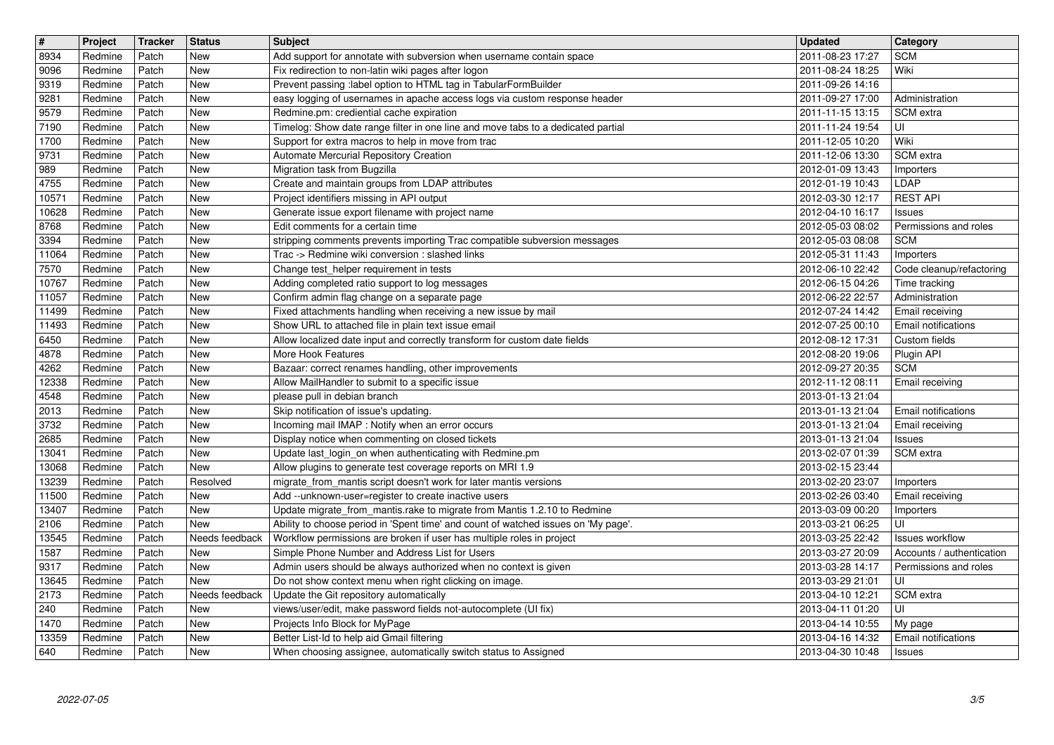| $\overline{\mathbf{t}}$  | Project            | Tracker        | <b>Status</b>   | <b>Subject</b>                                                                                                                                                 | <b>Updated</b>                       | <b>Category</b>                                    |
|--------------------------|--------------------|----------------|-----------------|----------------------------------------------------------------------------------------------------------------------------------------------------------------|--------------------------------------|----------------------------------------------------|
| 8934<br>9096             | Redmine<br>Redmine | Patch<br>Patch | New<br>New      | Add support for annotate with subversion when username contain space<br>Fix redirection to non-latin wiki pages after logon                                    | 2011-08-23 17:27<br>2011-08-24 18:25 | <b>SCM</b><br>Wiki                                 |
| 9319                     | Redmine            | Patch          | New             | Prevent passing :label option to HTML tag in TabularFormBuilder                                                                                                | 2011-09-26 14:16                     |                                                    |
| 9281<br>9579             | Redmine<br>Redmine | Patch<br>Patch | New<br>New      | easy logging of usernames in apache access logs via custom response header<br>Redmine.pm: crediential cache expiration                                         | 2011-09-27 17:00<br>2011-11-15 13:15 | Administration<br>l SCM extra                      |
| 7190                     | Redmine            | Patch          | New             | Timelog: Show date range filter in one line and move tabs to a dedicated partial                                                                               | 2011-11-24 19:54                     | luı                                                |
| 1700<br>9731             | Redmine<br>Redmine | Patch<br>Patch | New<br>New      | Support for extra macros to help in move from trac<br>Automate Mercurial Repository Creation                                                                   | 2011-12-05 10:20<br>2011-12-06 13:30 | Wiki<br>SCM extra                                  |
| 989                      | Redmine            | Patch          | New             | Migration task from Bugzilla                                                                                                                                   | 2012-01-09 13:43                     | Importers                                          |
| 4755<br>10571            | Redmine<br>Redmine | Patch<br>Patch | New<br>New      | Create and maintain groups from LDAP attributes<br>Project identifiers missing in API output                                                                   | 2012-01-19 10:43<br>2012-03-30 12:17 | LDAP<br><b>REST API</b>                            |
| 10628                    | Redmine            | Patch          | New             | Generate issue export filename with project name                                                                                                               | 2012-04-10 16:17                     | Issues                                             |
| 8768<br>3394             | Redmine<br>Redmine | Patch<br>Patch | New<br>New      | Edit comments for a certain time<br>stripping comments prevents importing Trac compatible subversion messages                                                  | 2012-05-03 08:02<br>2012-05-03 08:08 | Permissions and roles<br><b>SCM</b>                |
| 11064<br>7570            | Redmine<br>Redmine | Patch<br>Patch | New<br>New      | Trac -> Redmine wiki conversion : slashed links<br>Change test_helper requirement in tests                                                                     | 2012-05-31 11:43<br>2012-06-10 22:42 | Importers<br>Code cleanup/refactoring              |
| 10767                    | Redmine            | Patch          | New             | Adding completed ratio support to log messages                                                                                                                 | 2012-06-15 04:26                     | Time tracking                                      |
| 11057<br>11499           | Redmine<br>Redmine | Patch<br>Patch | New<br>New      | Confirm admin flag change on a separate page<br>Fixed attachments handling when receiving a new issue by mail                                                  | 2012-06-22 22:57<br>2012-07-24 14:42 | Administration<br>Email receiving                  |
| 11493                    | Redmine            | Patch          | New             | Show URL to attached file in plain text issue email                                                                                                            | 2012-07-25 00:10                     | <b>Email notifications</b>                         |
| 6450<br>4878             | Redmine<br>Redmine | Patch<br>Patch | New<br>New      | Allow localized date input and correctly transform for custom date fields<br>More Hook Features                                                                | 2012-08-12 17:31<br>2012-08-20 19:06 | Custom fields<br>Plugin API                        |
| 4262                     | Redmine            | Patch          | New             | Bazaar: correct renames handling, other improvements                                                                                                           | 2012-09-27 20:35                     | <b>SCM</b>                                         |
| 12338<br>4548            | Redmine<br>Redmine | Patch<br>Patch | New<br>New      | Allow MailHandler to submit to a specific issue<br>please pull in debian branch                                                                                | 2012-11-12 08:11<br>2013-01-13 21:04 | Email receiving                                    |
| 2013                     | Redmine            | Patch          | New             | Skip notification of issue's updating.                                                                                                                         | 2013-01-13 21:04                     | Email notifications                                |
| 3732<br>2685             | Redmine<br>Redmine | Patch<br>Patch | New<br>New      | Incoming mail IMAP : Notify when an error occurs<br>Display notice when commenting on closed tickets                                                           | 2013-01-13 21:04<br>2013-01-13 21:04 | Email receiving<br>Issues                          |
| 13041                    | Redmine            | Patch          | New             | Update last_login_on when authenticating with Redmine.pm                                                                                                       | 2013-02-07 01:39                     | SCM extra                                          |
| 13068<br>13239           | Redmine<br>Redmine | Patch<br>Patch | New<br>Resolved | Allow plugins to generate test coverage reports on MRI 1.9<br>migrate_from_mantis script doesn't work for later mantis versions                                | 2013-02-15 23:44<br>2013-02-20 23:07 | Importers                                          |
| 11500                    | Redmine            | Patch          | New             | Add --unknown-user=register to create inactive users                                                                                                           | 2013-02-26 03:40                     | Email receiving                                    |
| 13407<br>2106            | Redmine<br>Redmine | Patch<br>Patch | New<br>New      | Update migrate_from_mantis.rake to migrate from Mantis 1.2.10 to Redmine<br>Ability to choose period in 'Spent time' and count of watched issues on 'My page'. | 2013-03-09 00:20<br>2013-03-21 06:25 | Importers<br>UI                                    |
| 13545                    | Redmine            | Patch          | Needs feedback  | Workflow permissions are broken if user has multiple roles in project                                                                                          | 2013-03-25 22:42                     | <b>Issues workflow</b>                             |
| 1587<br>9317             | Redmine<br>Redmine | Patch<br>Patch | New<br>New      | Simple Phone Number and Address List for Users<br>Admin users should be always authorized when no context is given                                             | 2013-03-27 20:09<br>2013-03-28 14:17 | Accounts / authentication<br>Permissions and roles |
| 13645                    | Redmine            | Patch          | New             | Do not show context menu when right clicking on image.                                                                                                         | 2013-03-29 21:01                     | l UI                                               |
| $\overline{2173}$<br>240 | Redmine<br>Redmine | Patch<br>Patch | New             | Needs feedback Update the Git repository automatically<br>views/user/edit, make password fields not-autocomplete (UI fix)                                      | 2013-04-10 12:21<br>2013-04-11 01:20 | SCM extra<br>lui                                   |
| 1470                     | Redmine            | Patch<br>Patch | New             | Projects Info Block for MyPage                                                                                                                                 | 2013-04-14 10:55                     | My page                                            |
| 13359<br>640             | Redmine<br>Redmine | Patch          | New<br>New      | Better List-Id to help aid Gmail filtering<br>When choosing assignee, automatically switch status to Assigned                                                  | 2013-04-16 14:32<br>2013-04-30 10:48 | Email notifications<br>Issues                      |
|                          |                    |                |                 |                                                                                                                                                                |                                      |                                                    |
|                          |                    |                |                 |                                                                                                                                                                |                                      |                                                    |
|                          |                    |                |                 |                                                                                                                                                                |                                      |                                                    |
|                          |                    |                |                 |                                                                                                                                                                |                                      |                                                    |
|                          |                    |                |                 |                                                                                                                                                                |                                      |                                                    |
|                          |                    |                |                 |                                                                                                                                                                |                                      |                                                    |
|                          |                    |                |                 |                                                                                                                                                                |                                      |                                                    |
|                          |                    |                |                 |                                                                                                                                                                |                                      |                                                    |
|                          |                    |                |                 |                                                                                                                                                                |                                      |                                                    |
|                          |                    |                |                 |                                                                                                                                                                |                                      |                                                    |
|                          |                    |                |                 |                                                                                                                                                                |                                      |                                                    |
|                          |                    |                |                 |                                                                                                                                                                |                                      |                                                    |
|                          |                    |                |                 |                                                                                                                                                                |                                      |                                                    |
|                          |                    |                |                 |                                                                                                                                                                |                                      |                                                    |
|                          |                    |                |                 |                                                                                                                                                                |                                      |                                                    |
|                          |                    |                |                 |                                                                                                                                                                |                                      |                                                    |
|                          |                    |                |                 |                                                                                                                                                                |                                      |                                                    |
|                          |                    |                |                 |                                                                                                                                                                |                                      |                                                    |
|                          |                    |                |                 |                                                                                                                                                                |                                      |                                                    |
|                          |                    |                |                 |                                                                                                                                                                |                                      |                                                    |
|                          |                    |                |                 |                                                                                                                                                                |                                      |                                                    |
|                          |                    |                |                 |                                                                                                                                                                |                                      |                                                    |
|                          |                    |                |                 |                                                                                                                                                                |                                      |                                                    |
|                          |                    |                |                 |                                                                                                                                                                |                                      |                                                    |
|                          |                    |                |                 |                                                                                                                                                                |                                      |                                                    |
|                          |                    |                |                 |                                                                                                                                                                |                                      |                                                    |
|                          |                    |                |                 |                                                                                                                                                                |                                      |                                                    |
|                          |                    |                |                 |                                                                                                                                                                |                                      |                                                    |
|                          |                    |                |                 |                                                                                                                                                                |                                      |                                                    |
|                          |                    |                |                 |                                                                                                                                                                |                                      |                                                    |
|                          |                    |                |                 |                                                                                                                                                                |                                      |                                                    |
|                          |                    |                |                 |                                                                                                                                                                |                                      |                                                    |
|                          |                    |                |                 |                                                                                                                                                                |                                      |                                                    |
|                          |                    |                |                 |                                                                                                                                                                |                                      |                                                    |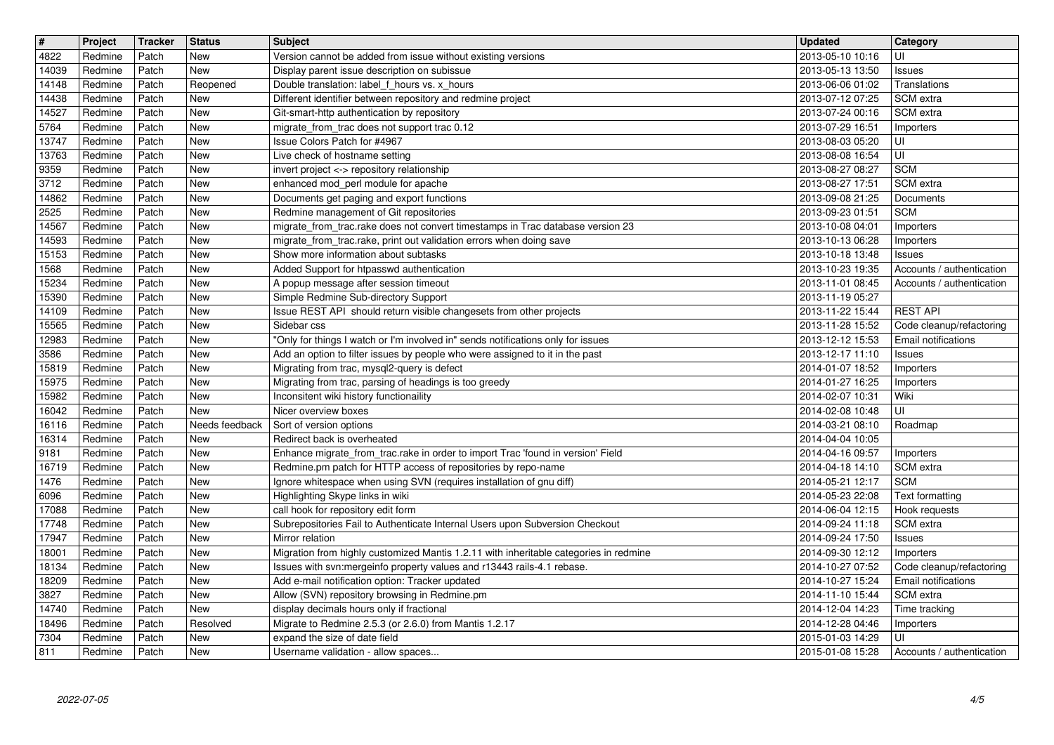| $\boxed{\texttt{#}}$ | Project            | <b>Tracker</b> | <b>Status</b>                | <b>Subject</b>                                                                                                                        | <b>Updated</b>                       | Category                                   |
|----------------------|--------------------|----------------|------------------------------|---------------------------------------------------------------------------------------------------------------------------------------|--------------------------------------|--------------------------------------------|
| 4822                 | Redmine            | Patch          | <b>New</b>                   | Version cannot be added from issue without existing versions                                                                          | 2013-05-10 10:16                     | UI                                         |
| 14039<br>14148       | Redmine<br>Redmine | Patch<br>Patch | <b>New</b><br>Reopened       | Display parent issue description on subissue<br>Double translation: label_f_hours vs. x_hours                                         | 2013-05-13 13:50<br>2013-06-06 01:02 | <b>Issues</b><br>Translations              |
| 14438                | Redmine            | Patch          | <b>New</b>                   | Different identifier between repository and redmine project                                                                           | 2013-07-12 07:25                     | l SCM extra                                |
| 14527                | Redmine            | Patch          | <b>New</b>                   | Git-smart-http authentication by repository                                                                                           | 2013-07-24 00:16                     | SCM extra                                  |
| 5764                 | Redmine            | Patch          | <b>New</b>                   | migrate_from_trac does not support trac 0.12                                                                                          | 2013-07-29 16:51                     | Importers                                  |
| 13747<br>13763       | Redmine<br>Redmine | Patch<br>Patch | <b>New</b><br><b>New</b>     | Issue Colors Patch for #4967<br>Live check of hostname setting                                                                        | 2013-08-03 05:20<br>2013-08-08 16:54 | UI<br>UI                                   |
| 9359                 | Redmine            | Patch          | <b>New</b>                   | invert project <-> repository relationship                                                                                            | 2013-08-27 08:27                     | <b>SCM</b>                                 |
| 3712                 | Redmine            | Patch          | <b>New</b>                   | enhanced mod_perl module for apache                                                                                                   | 2013-08-27 17:51                     | <b>SCM</b> extra                           |
| 14862<br>2525        | Redmine<br>Redmine | Patch<br>Patch | <b>New</b><br><b>New</b>     | Documents get paging and export functions<br>Redmine management of Git repositories                                                   | 2013-09-08 21:25<br>2013-09-23 01:51 | Documents<br><b>SCM</b>                    |
| 14567                | Redmine            | Patch          | <b>New</b>                   | migrate_from_trac.rake does not convert timestamps in Trac database version 23                                                        | 2013-10-08 04:01                     | Importers                                  |
| 14593<br>15153       | Redmine<br>Redmine | Patch<br>Patch | <b>New</b><br><b>New</b>     | migrate_from_trac.rake, print out validation errors when doing save<br>Show more information about subtasks                           | 2013-10-13 06:28<br>2013-10-18 13:48 | Importers                                  |
| 1568                 | Redmine            | Patch          | <b>New</b>                   | Added Support for htpasswd authentication                                                                                             | 2013-10-23 19:35                     | <b>Issues</b><br>Accounts / authentication |
| 15234                | Redmine            | Patch          | <b>New</b>                   | A popup message after session timeout                                                                                                 | 2013-11-01 08:45                     | Accounts / authentication                  |
| 15390<br>14109       | Redmine<br>Redmine | Patch<br>Patch | <b>New</b><br><b>New</b>     | Simple Redmine Sub-directory Support<br>Issue REST API should return visible changesets from other projects                           | 2013-11-19 05:27<br>2013-11-22 15:44 | <b>REST API</b>                            |
| 15565                | Redmine            | Patch          | <b>New</b>                   | Sidebar css                                                                                                                           | 2013-11-28 15:52                     | Code cleanup/refactoring                   |
| 12983                | Redmine            | Patch          | <b>New</b>                   | "Only for things I watch or I'm involved in" sends notifications only for issues                                                      | 2013-12-12 15:53                     | <b>Email notifications</b>                 |
| 3586<br>15819        | Redmine<br>Redmine | Patch<br>Patch | <b>New</b><br><b>New</b>     | Add an option to filter issues by people who were assigned to it in the past<br>Migrating from trac, mysql2-query is defect           | 2013-12-17 11:10<br>2014-01-07 18:52 | <b>Issues</b><br>Importers                 |
| 15975                | Redmine            | Patch          | <b>New</b>                   | Migrating from trac, parsing of headings is too greedy                                                                                | 2014-01-27 16:25                     | Importers                                  |
| 15982                | Redmine            | Patch          | <b>New</b>                   | Inconsitent wiki history functionaility                                                                                               | 2014-02-07 10:31                     | Wiki                                       |
| 16042<br>16116       | Redmine<br>Redmine | Patch<br>Patch | <b>New</b><br>Needs feedback | Nicer overview boxes<br>Sort of version options                                                                                       | 2014-02-08 10:48<br>2014-03-21 08:10 | UI<br>Roadmap                              |
| 16314                | Redmine            | Patch          | <b>New</b>                   | Redirect back is overheated                                                                                                           | 2014-04-04 10:05                     |                                            |
| 9181                 | Redmine            | Patch          | <b>New</b>                   | Enhance migrate_from_trac.rake in order to import Trac 'found in version' Field                                                       | 2014-04-16 09:57                     | Importers                                  |
| 16719<br>1476        | Redmine<br>Redmine | Patch<br>Patch | <b>New</b><br><b>New</b>     | Redmine.pm patch for HTTP access of repositories by repo-name<br>Ignore whitespace when using SVN (requires installation of gnu diff) | 2014-04-18 14:10<br>2014-05-21 12:17 | SCM extra<br><b>SCM</b>                    |
| 6096                 | Redmine            | Patch          | <b>New</b>                   | Highlighting Skype links in wiki                                                                                                      | 2014-05-23 22:08                     | Text formatting                            |
| 17088                | Redmine            | Patch          | <b>New</b>                   | call hook for repository edit form                                                                                                    | 2014-06-04 12:15                     | Hook requests                              |
| 17748<br>17947       | Redmine<br>Redmine | Patch<br>Patch | <b>New</b><br><b>New</b>     | Subrepositories Fail to Authenticate Internal Users upon Subversion Checkout<br>Mirror relation                                       | 2014-09-24 11:18<br>2014-09-24 17:50 | SCM extra<br>Issues                        |
| 18001                | Redmine            | Patch          | <b>New</b>                   | Migration from highly customized Mantis 1.2.11 with inheritable categories in redmine                                                 | 2014-09-30 12:12                     | Importers                                  |
| 18134                | Redmine            | Patch          | <b>New</b>                   | Issues with svn:mergeinfo property values and r13443 rails-4.1 rebase.                                                                | 2014-10-27 07:52                     | Code cleanup/refactoring                   |
| 18209<br>3827        | Redmine<br>Redmine | Patch<br>Patch | <b>New</b><br>New            | Add e-mail notification option: Tracker updated<br>Allow (SVN) repository browsing in Redmine.pm                                      | 2014-10-27 15:24<br>2014-11-10 15:44 | <b>Email notifications</b><br>SCM extra    |
| 14740                | Redmine            | Patch          | <b>New</b>                   | display decimals hours only if fractional                                                                                             | 2014-12-04 14:23                     | Time tracking                              |
| 18496                | Redmine            | Patch          | Resolved<br><b>New</b>       | Migrate to Redmine 2.5.3 (or 2.6.0) from Mantis 1.2.17                                                                                | 2014-12-28 04:46                     | Importers<br>UI                            |
| 7304<br>811          | Redmine<br>Redmine | Patch<br>Patch | New                          | expand the size of date field<br>Username validation - allow spaces                                                                   | 2015-01-03 14:29<br>2015-01-08 15:28 | Accounts / authentication                  |
|                      |                    |                |                              |                                                                                                                                       |                                      |                                            |
|                      |                    |                |                              |                                                                                                                                       |                                      |                                            |
|                      |                    |                |                              |                                                                                                                                       |                                      |                                            |
|                      |                    |                |                              |                                                                                                                                       |                                      |                                            |
|                      |                    |                |                              |                                                                                                                                       |                                      |                                            |
|                      |                    |                |                              |                                                                                                                                       |                                      |                                            |
|                      |                    |                |                              |                                                                                                                                       |                                      |                                            |
|                      |                    |                |                              |                                                                                                                                       |                                      |                                            |
|                      |                    |                |                              |                                                                                                                                       |                                      |                                            |
|                      |                    |                |                              |                                                                                                                                       |                                      |                                            |
|                      |                    |                |                              |                                                                                                                                       |                                      |                                            |
|                      |                    |                |                              |                                                                                                                                       |                                      |                                            |
|                      |                    |                |                              |                                                                                                                                       |                                      |                                            |